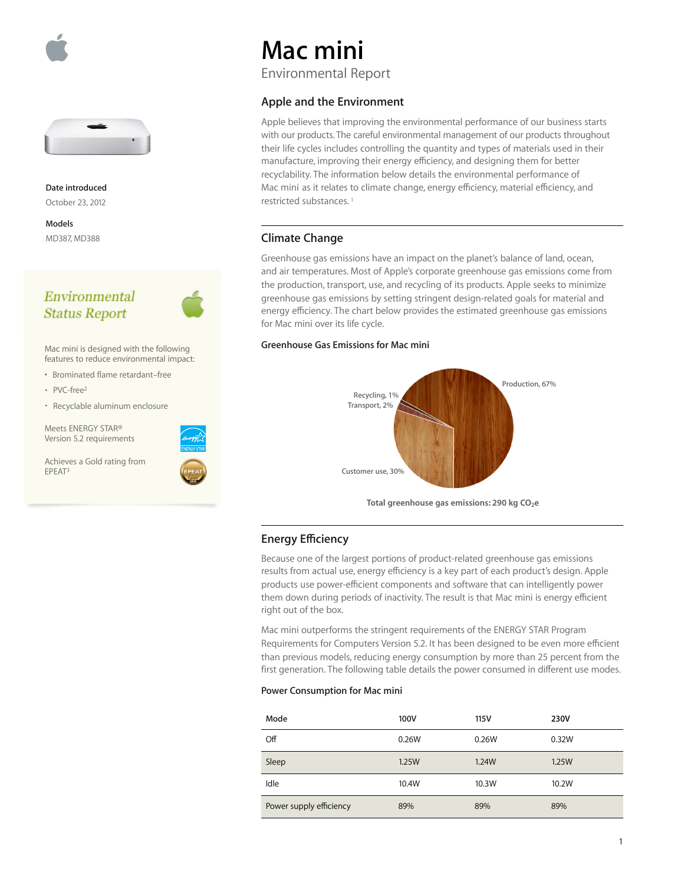



**Date introduced** October 23, 2012

**Models**  MD387, MD388

## Environmental **Status Report**



Mac mini is designed with the following features to reduce environmental impact:

- Brominated flame retardant–free
- $PVC$ -free<sup>2</sup>
- Recyclable aluminum enclosure

Meets ENERGY STAR® Version 5.2 requirements

Achieves a Gold rating from<br>EPEAT<sup>3</sup> EPEAT3 **Customer use, 30%**



# **Mac mini**

Environmental Report

## **Apple and the Environment**

Apple believes that improving the environmental performance of our business starts with our products. The careful environmental management of our products throughout their life cycles includes controlling the quantity and types of materials used in their manufacture, improving their energy efficiency, and designing them for better recyclability. The information below details the environmental performance of Mac mini as it relates to climate change, energy efficiency, material efficiency, and restricted substances. 1

### **Climate Change**

Greenhouse gas emissions have an impact on the planet's balance of land, ocean, and air temperatures. Most of Apple's corporate greenhouse gas emissions come from the production, transport, use, and recycling of its products. Apple seeks to minimize greenhouse gas emissions by setting stringent design-related goals for material and energy efficiency. The chart below provides the estimated greenhouse gas emissions for Mac mini over its life cycle.

#### **Greenhouse Gas Emissions for Mac mini**



## **Energy Efficiency**

Because one of the largest portions of product-related greenhouse gas emissions results from actual use, energy efficiency is a key part of each product's design. Apple products use power-efficient components and software that can intelligently power them down during periods of inactivity. The result is that Mac mini is energy efficient right out of the box.

Mac mini outperforms the stringent requirements of the ENERGY STAR Program Requirements for Computers Version 5.2. It has been designed to be even more efficient than previous models, reducing energy consumption by more than 25 percent from the first generation. The following table details the power consumed in different use modes.

#### **Power Consumption for Mac mini**

| Mode                    | 100V  | 115V  | 230V  |
|-------------------------|-------|-------|-------|
| Off                     | 0.26W | 0.26W | 0.32W |
| Sleep                   | 1.25W | 1.24W | 1.25W |
| Idle                    | 10.4W | 10.3W | 10.2W |
| Power supply efficiency | 89%   | 89%   | 89%   |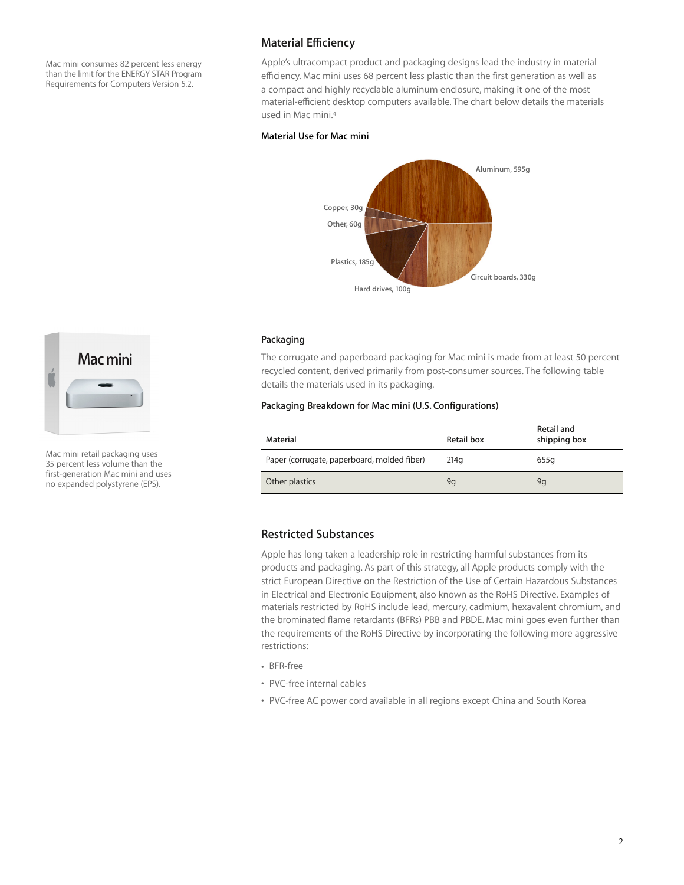Mac mini consumes 82 percent less energy than the limit for the ENERGY STAR Program Requirements for Computers Version 5.2.

## **Material Efficiency**

Apple's ultracompact product and packaging designs lead the industry in material efficiency. Mac mini uses 68 percent less plastic than the first generation as well as a compact and highly recyclable aluminum enclosure, making it one of the most material-efficient desktop computers available. The chart below details the materials used in Mac mini.4

#### **Material Use for Mac mini**



#### **Packaging**

The corrugate and paperboard packaging for Mac mini is made from at least 50 percent recycled content, derived primarily from post-consumer sources. The following table details the materials used in its packaging.

#### **Packaging Breakdown for Mac mini (U.S. Configurations)**

| Material                                    | Retail box | Retail and<br>shipping box |
|---------------------------------------------|------------|----------------------------|
| Paper (corrugate, paperboard, molded fiber) | 214a       | 655g                       |
| Other plastics                              | 9q         | 9q                         |

#### **Restricted Substances**

Apple has long taken a leadership role in restricting harmful substances from its products and packaging. As part of this strategy, all Apple products comply with the strict European Directive on the Restriction of the Use of Certain Hazardous Substances in Electrical and Electronic Equipment, also known as the RoHS Directive. Examples of materials restricted by RoHS include lead, mercury, cadmium, hexavalent chromium, and the brominated flame retardants (BFRs) PBB and PBDE. Mac mini goes even further than the requirements of the RoHS Directive by incorporating the following more aggressive restrictions:

• BFR-free

- PVC-free internal cables
- PVC-free AC power cord available in all regions except China and South Korea



Mac mini retail packaging uses 35 percent less volume than the first-generation Mac mini and uses no expanded polystyrene (EPS).